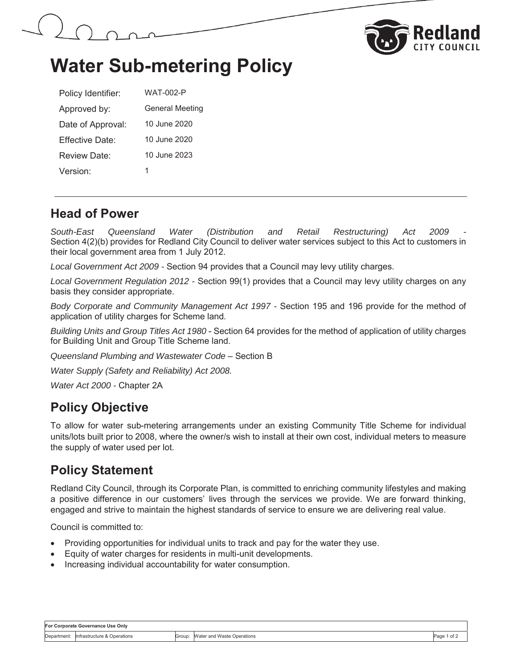



## **Water Sub-metering Policy**

| Policy Identifier: | WAT-002-P              |
|--------------------|------------------------|
| Approved by:       | <b>General Meeting</b> |
| Date of Approval:  | 10 June 2020           |
| Fffective Date:    | 10 June 2020           |
| Review Date:       | 10 June 2023           |
| Version:           | 1                      |

#### **Head of Power**

South-East Queensland Water (Distribution and Retail Restructuring) Act 2009 Section 4(2)(b) provides for Redland City Council to deliver water services subject to this Act to customers in their local government area from 1 July 2012.

*Local Government Act 2009 -* Section 94 provides that a Council may levy utility charges.

*Local Government Regulation 2012 -* Section 99(1) provides that a Council may levy utility charges on any basis they consider appropriate.

*Body Corporate and Community Management Act 1997 -* Section 195 and 196 provide for the method of application of utility charges for Scheme land.

*Building Units and Group Titles Act 1980* - Section 64 provides for the method of application of utility charges for Building Unit and Group Title Scheme land.

*Queensland Plumbing and Wastewater Code –* Section B

*Water Supply (Safety and Reliability) Act 2008.* 

*Water Act 2000 -* Chapter 2A

### **Policy Objective**

To allow for water sub-metering arrangements under an existing Community Title Scheme for individual units/lots built prior to 2008, where the owner/s wish to install at their own cost, individual meters to measure the supply of water used per lot.

### **Policy Statement**

Redland City Council, through its Corporate Plan, is committed to enriching community lifestyles and making a positive difference in our customers' lives through the services we provide. We are forward thinking, engaged and strive to maintain the highest standards of service to ensure we are delivering real value.

Council is committed to:

- Providing opportunities for individual units to track and pay for the water they use.
- Equity of water charges for residents in multi-unit developments.
- Increasing individual accountability for water consumption.

| For Corporate Governance Use Only |                                          |        |                            |              |  |  |
|-----------------------------------|------------------------------------------|--------|----------------------------|--------------|--|--|
|                                   | Department: linfrastructure & Operations | Group: | Water and Waste Operations | Page<br>'of. |  |  |